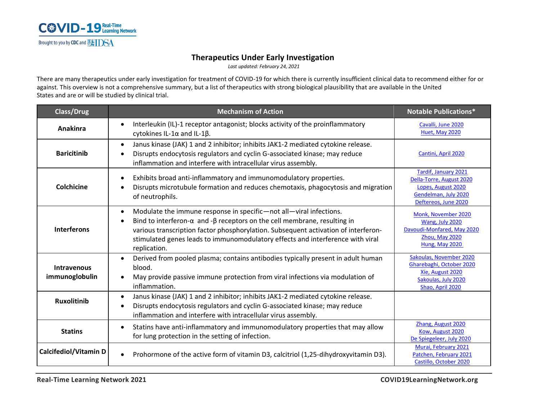

## **Therapeutics Under Early Investigation**

*Last updated: February 24, 2021*

There are many therapeutics under early investigation for treatment of COVID-19 for which there is currently insufficient clinical data to recommend either for or against. This overview is not a comprehensive summary, but a list of therapeutics with strong biological plausibility that are available in the United States and are or will be studied by clinical trial.

| <b>Class/Drug</b>                    | <b>Mechanism of Action</b>                                                                                                                                                                                                                                                                                                                                         | <b>Notable Publications*</b>                                                                                                  |
|--------------------------------------|--------------------------------------------------------------------------------------------------------------------------------------------------------------------------------------------------------------------------------------------------------------------------------------------------------------------------------------------------------------------|-------------------------------------------------------------------------------------------------------------------------------|
| Anakinra                             | Interleukin (IL)-1 receptor antagonist; blocks activity of the proinflammatory<br>$\bullet$<br>cytokines IL-1 $\alpha$ and IL-1 $\beta$ .                                                                                                                                                                                                                          | Cavalli, June 2020<br>Huet, May 2020                                                                                          |
| <b>Baricitinib</b>                   | Janus kinase (JAK) 1 and 2 inhibitor; inhibits JAK1-2 mediated cytokine release.<br>$\bullet$<br>Disrupts endocytosis regulators and cyclin G-associated kinase; may reduce<br>inflammation and interfere with intracellular virus assembly.                                                                                                                       | Cantini, April 2020                                                                                                           |
| Colchicine                           | Exhibits broad anti-inflammatory and immunomodulatory properties.<br>Disrupts microtubule formation and reduces chemotaxis, phagocytosis and migration<br>of neutrophils.                                                                                                                                                                                          | <b>Tardif, January 2021</b><br>Della-Torre, August 2020<br>Lopes, August 2020<br>Gendelman, July 2020<br>Deftereos, June 2020 |
| <b>Interferons</b>                   | Modulate the immune response in specific-not all-viral infections.<br>$\bullet$<br>Bind to interferon- $\alpha$ and - $\beta$ receptors on the cell membrane, resulting in<br>various transcription factor phosphorylation. Subsequent activation of interferon-<br>stimulated genes leads to immunomodulatory effects and interference with viral<br>replication. | Monk, November 2020<br>Wang, July 2020<br>Davoudi-Monfared, May 2020<br>Zhou, May 2020<br>Hung, May 2020                      |
| <b>Intravenous</b><br>immunoglobulin | Derived from pooled plasma; contains antibodies typically present in adult human<br>$\bullet$<br>blood.<br>May provide passive immune protection from viral infections via modulation of<br>$\bullet$<br>inflammation.                                                                                                                                             | Sakoulas, November 2020<br>Gharebaghi, October 2020<br>Xie, August 2020<br>Sakoulas, July 2020<br>Shao, April 2020            |
| <b>Ruxolitinib</b>                   | Janus kinase (JAK) 1 and 2 inhibitor; inhibits JAK1-2 mediated cytokine release.<br>Disrupts endocytosis regulators and cyclin G-associated kinase; may reduce<br>inflammation and interfere with intracellular virus assembly.                                                                                                                                    |                                                                                                                               |
| <b>Statins</b>                       | Statins have anti-inflammatory and immunomodulatory properties that may allow<br>$\bullet$<br>for lung protection in the setting of infection.                                                                                                                                                                                                                     | Zhang, August 2020<br>Kow, August 2020<br>De Spiegeleer, July 2020                                                            |
| <b>Calcifediol/Vitamin D</b>         | Prohormone of the active form of vitamin D3, calcitriol (1,25-dihydroxyvitamin D3).                                                                                                                                                                                                                                                                                | Murai, February 2021<br>Patchen, February 2021<br>Castillo, October 2020                                                      |